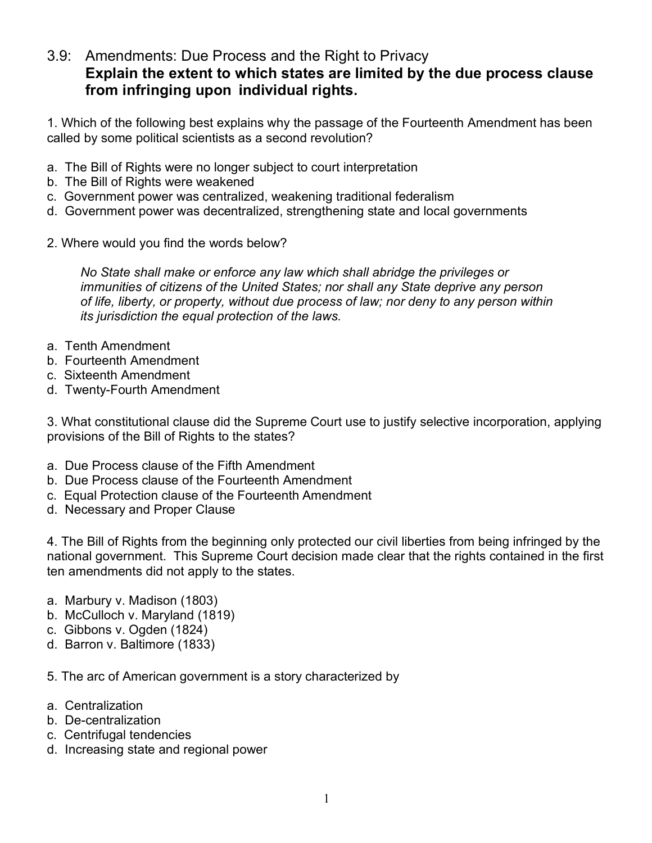## 3.9: Amendments: Due Process and the Right to Privacy **Explain the extent to which states are limited by the due process clause from infringing upon individual rights.**

1. Which of the following best explains why the passage of the Fourteenth Amendment has been called by some political scientists as a second revolution?

- a. The Bill of Rights were no longer subject to court interpretation
- b. The Bill of Rights were weakened
- c. Government power was centralized, weakening traditional federalism
- d. Government power was decentralized, strengthening state and local governments
- 2. Where would you find the words below?

*No State shall make or enforce any law which shall abridge the privileges or immunities of citizens of the United States; nor shall any State deprive any person of life, liberty, or property, without due process of law; nor deny to any person within its jurisdiction the equal protection of the laws.*

- a. Tenth Amendment
- b. Fourteenth Amendment
- c. Sixteenth Amendment
- d. Twenty-Fourth Amendment

3. What constitutional clause did the Supreme Court use to justify selective incorporation, applying provisions of the Bill of Rights to the states?

- a. Due Process clause of the Fifth Amendment
- b. Due Process clause of the Fourteenth Amendment
- c. Equal Protection clause of the Fourteenth Amendment
- d. Necessary and Proper Clause

4. The Bill of Rights from the beginning only protected our civil liberties from being infringed by the national government. This Supreme Court decision made clear that the rights contained in the first ten amendments did not apply to the states.

- a. Marbury v. Madison (1803)
- b. McCulloch v. Maryland (1819)
- c. Gibbons v. Ogden (1824)
- d. Barron v. Baltimore (1833)
- 5. The arc of American government is a story characterized by
- a. Centralization
- b. De-centralization
- c. Centrifugal tendencies
- d. Increasing state and regional power